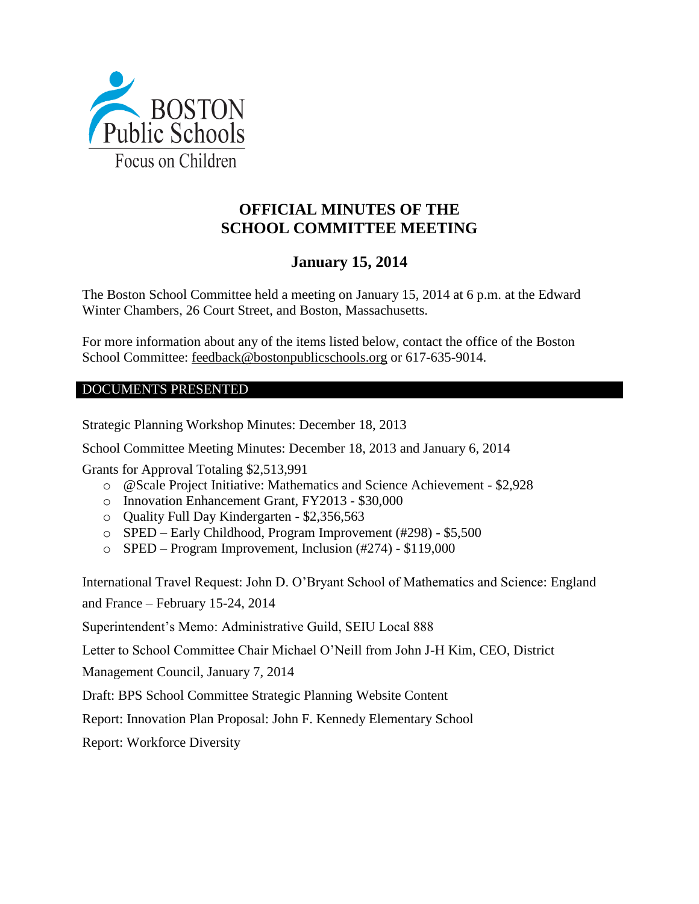

# **OFFICIAL MINUTES OF THE SCHOOL COMMITTEE MEETING**

# **January 15, 2014**

The Boston School Committee held a meeting on January 15, 2014 at 6 p.m. at the Edward Winter Chambers, 26 Court Street, and Boston, Massachusetts.

For more information about any of the items listed below, contact the office of the Boston School Committee: [feedback@bostonpublicschools.org](mailto:feedback@bostonpublicschools.org) or 617-635-9014.

# DOCUMENTS PRESENTED

Strategic Planning Workshop Minutes: December 18, 2013

School Committee Meeting Minutes: December 18, 2013 and January 6, 2014

Grants for Approval Totaling \$2,513,991

- o @Scale Project Initiative: Mathematics and Science Achievement \$2,928
- o Innovation Enhancement Grant, FY2013 \$30,000
- o Quality Full Day Kindergarten \$2,356,563
- o SPED Early Childhood, Program Improvement (#298) \$5,500
- o SPED Program Improvement, Inclusion (#274) \$119,000

International Travel Request: John D. O'Bryant School of Mathematics and Science: England and France – February 15-24, 2014

Superintendent's Memo: Administrative Guild, SEIU Local 888

Letter to School Committee Chair Michael O'Neill from John J-H Kim, CEO, District

Management Council, January 7, 2014

Draft: BPS School Committee Strategic Planning Website Content

Report: Innovation Plan Proposal: John F. Kennedy Elementary School

Report: Workforce Diversity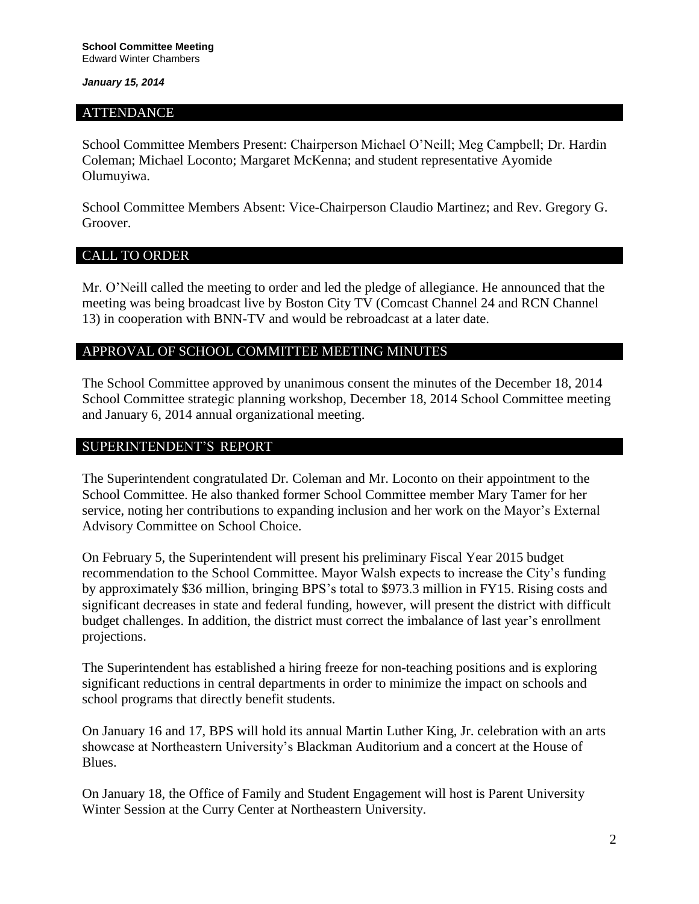#### ATTENDANCE

School Committee Members Present: Chairperson Michael O'Neill; Meg Campbell; Dr. Hardin Coleman; Michael Loconto; Margaret McKenna; and student representative Ayomide Olumuyiwa.

School Committee Members Absent: Vice-Chairperson Claudio Martinez; and Rev. Gregory G. Groover.

# CALL TO ORDER

Mr. O'Neill called the meeting to order and led the pledge of allegiance. He announced that the meeting was being broadcast live by Boston City TV (Comcast Channel 24 and RCN Channel 13) in cooperation with BNN-TV and would be rebroadcast at a later date.

## APPROVAL OF SCHOOL COMMITTEE MEETING MINUTES

The School Committee approved by unanimous consent the minutes of the December 18, 2014 School Committee strategic planning workshop, December 18, 2014 School Committee meeting and January 6, 2014 annual organizational meeting.

## SUPERINTENDENT'S REPORT

The Superintendent congratulated Dr. Coleman and Mr. Loconto on their appointment to the School Committee. He also thanked former School Committee member Mary Tamer for her service, noting her contributions to expanding inclusion and her work on the Mayor's External Advisory Committee on School Choice.

On February 5, the Superintendent will present his preliminary Fiscal Year 2015 budget recommendation to the School Committee. Mayor Walsh expects to increase the City's funding by approximately \$36 million, bringing BPS's total to \$973.3 million in FY15. Rising costs and significant decreases in state and federal funding, however, will present the district with difficult budget challenges. In addition, the district must correct the imbalance of last year's enrollment projections.

The Superintendent has established a hiring freeze for non-teaching positions and is exploring significant reductions in central departments in order to minimize the impact on schools and school programs that directly benefit students.

On January 16 and 17, BPS will hold its annual Martin Luther King, Jr. celebration with an arts showcase at Northeastern University's Blackman Auditorium and a concert at the House of Blues.

On January 18, the Office of Family and Student Engagement will host is Parent University Winter Session at the Curry Center at Northeastern University.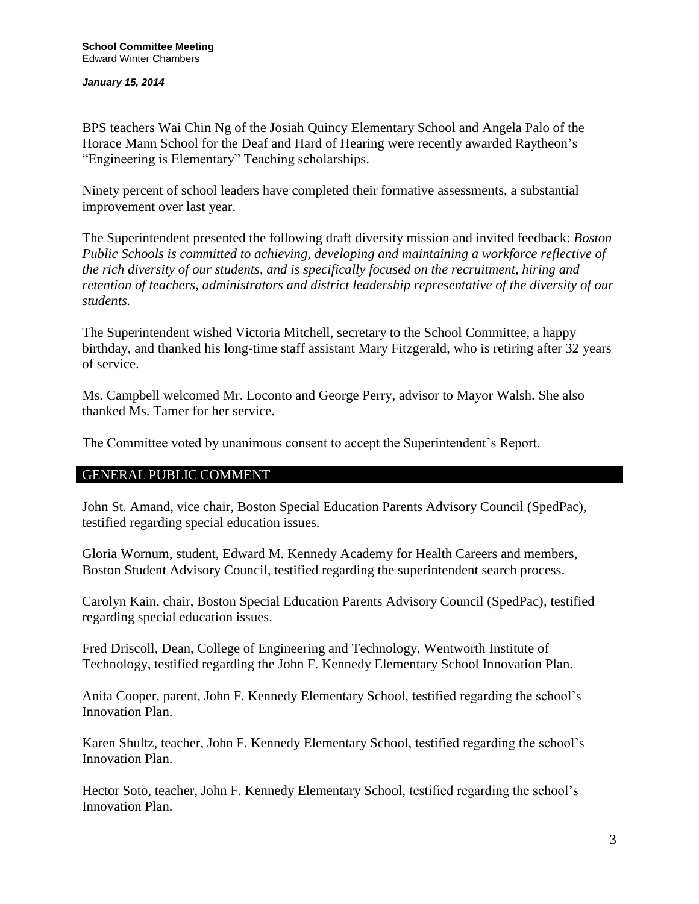BPS teachers Wai Chin Ng of the Josiah Quincy Elementary School and Angela Palo of the Horace Mann School for the Deaf and Hard of Hearing were recently awarded Raytheon's "Engineering is Elementary" Teaching scholarships.

Ninety percent of school leaders have completed their formative assessments, a substantial improvement over last year.

The Superintendent presented the following draft diversity mission and invited feedback: *Boston Public Schools is committed to achieving, developing and maintaining a workforce reflective of the rich diversity of our students, and is specifically focused on the recruitment, hiring and retention of teachers, administrators and district leadership representative of the diversity of our students.*

The Superintendent wished Victoria Mitchell, secretary to the School Committee, a happy birthday, and thanked his long-time staff assistant Mary Fitzgerald, who is retiring after 32 years of service.

Ms. Campbell welcomed Mr. Loconto and George Perry, advisor to Mayor Walsh. She also thanked Ms. Tamer for her service.

The Committee voted by unanimous consent to accept the Superintendent's Report.

## GENERAL PUBLIC COMMENT

John St. Amand, vice chair, Boston Special Education Parents Advisory Council (SpedPac), testified regarding special education issues.

Gloria Wornum, student, Edward M. Kennedy Academy for Health Careers and members, Boston Student Advisory Council, testified regarding the superintendent search process.

Carolyn Kain, chair, Boston Special Education Parents Advisory Council (SpedPac), testified regarding special education issues.

Fred Driscoll, Dean, College of Engineering and Technology, Wentworth Institute of Technology, testified regarding the John F. Kennedy Elementary School Innovation Plan.

Anita Cooper, parent, John F. Kennedy Elementary School, testified regarding the school's Innovation Plan.

Karen Shultz, teacher, John F. Kennedy Elementary School, testified regarding the school's Innovation Plan.

Hector Soto, teacher, John F. Kennedy Elementary School, testified regarding the school's Innovation Plan.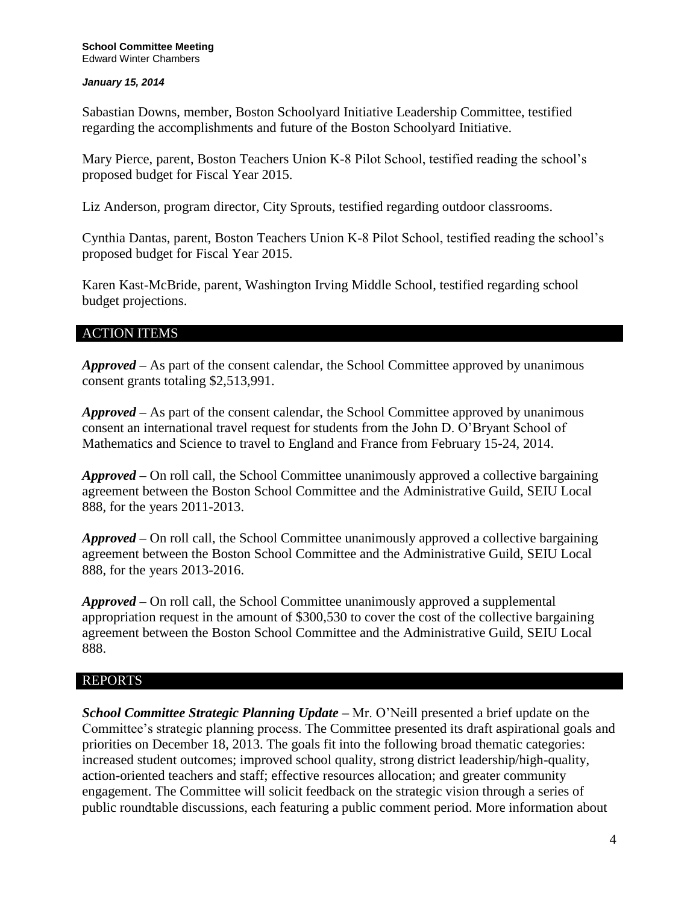Sabastian Downs, member, Boston Schoolyard Initiative Leadership Committee, testified regarding the accomplishments and future of the Boston Schoolyard Initiative.

Mary Pierce, parent, Boston Teachers Union K-8 Pilot School, testified reading the school's proposed budget for Fiscal Year 2015.

Liz Anderson, program director, City Sprouts, testified regarding outdoor classrooms.

Cynthia Dantas, parent, Boston Teachers Union K-8 Pilot School, testified reading the school's proposed budget for Fiscal Year 2015.

Karen Kast-McBride, parent, Washington Irving Middle School, testified regarding school budget projections.

# ACTION ITEMS

*Approved –* As part of the consent calendar, the School Committee approved by unanimous consent grants totaling \$2,513,991.

*Approved –* As part of the consent calendar, the School Committee approved by unanimous consent an international travel request for students from the John D. O'Bryant School of Mathematics and Science to travel to England and France from February 15-24, 2014.

*Approved –* On roll call, the School Committee unanimously approved a collective bargaining agreement between the Boston School Committee and the Administrative Guild, SEIU Local 888, for the years 2011-2013.

*Approved –* On roll call, the School Committee unanimously approved a collective bargaining agreement between the Boston School Committee and the Administrative Guild, SEIU Local 888, for the years 2013-2016.

*Approved –* On roll call, the School Committee unanimously approved a supplemental appropriation request in the amount of \$300,530 to cover the cost of the collective bargaining agreement between the Boston School Committee and the Administrative Guild, SEIU Local 888.

## REPORTS

*School Committee Strategic Planning Update –* Mr. O'Neill presented a brief update on the Committee's strategic planning process. The Committee presented its draft aspirational goals and priorities on December 18, 2013. The goals fit into the following broad thematic categories: increased student outcomes; improved school quality, strong district leadership/high-quality, action-oriented teachers and staff; effective resources allocation; and greater community engagement. The Committee will solicit feedback on the strategic vision through a series of public roundtable discussions, each featuring a public comment period. More information about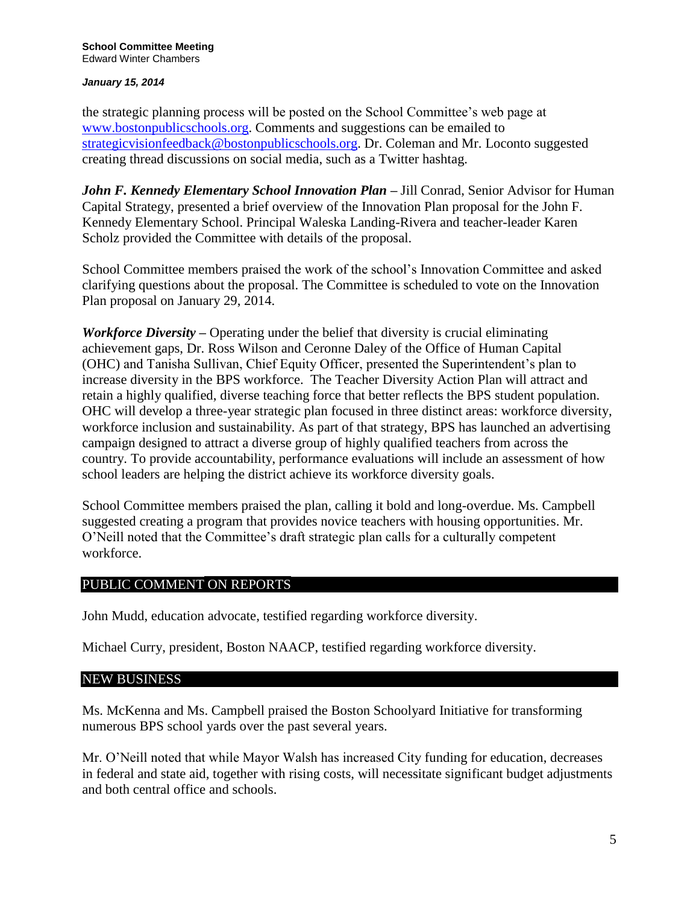the strategic planning process will be posted on the School Committee's web page at [www.bostonpublicschools.org.](http://www.bostonpublicschools.org/) Comments and suggestions can be emailed to [strategicvisionfeedback@bostonpublicschools.org.](mailto:strategicvisionfeedback@bostonpublicschools.org) Dr. Coleman and Mr. Loconto suggested creating thread discussions on social media, such as a Twitter hashtag.

*John F. Kennedy Elementary School Innovation Plan –* Jill Conrad, Senior Advisor for Human Capital Strategy, presented a brief overview of the Innovation Plan proposal for the John F. Kennedy Elementary School. Principal Waleska Landing-Rivera and teacher-leader Karen Scholz provided the Committee with details of the proposal.

School Committee members praised the work of the school's Innovation Committee and asked clarifying questions about the proposal. The Committee is scheduled to vote on the Innovation Plan proposal on January 29, 2014.

*Workforce Diversity –* Operating under the belief that diversity is crucial eliminating achievement gaps, Dr. Ross Wilson and Ceronne Daley of the Office of Human Capital (OHC) and Tanisha Sullivan, Chief Equity Officer, presented the Superintendent's plan to increase diversity in the BPS workforce. The Teacher Diversity Action Plan will attract and retain a highly qualified, diverse teaching force that better reflects the BPS student population. OHC will develop a three-year strategic plan focused in three distinct areas: workforce diversity, workforce inclusion and sustainability. As part of that strategy, BPS has launched an advertising campaign designed to attract a diverse group of highly qualified teachers from across the country. To provide accountability, performance evaluations will include an assessment of how school leaders are helping the district achieve its workforce diversity goals.

School Committee members praised the plan, calling it bold and long-overdue. Ms. Campbell suggested creating a program that provides novice teachers with housing opportunities. Mr. O'Neill noted that the Committee's draft strategic plan calls for a culturally competent workforce.

## PUBLIC COMMENT ON REPORTS

John Mudd, education advocate, testified regarding workforce diversity.

Michael Curry, president, Boston NAACP, testified regarding workforce diversity.

## NEW BUSINESS

Ms. McKenna and Ms. Campbell praised the Boston Schoolyard Initiative for transforming numerous BPS school yards over the past several years.

Mr. O'Neill noted that while Mayor Walsh has increased City funding for education, decreases in federal and state aid, together with rising costs, will necessitate significant budget adjustments and both central office and schools.